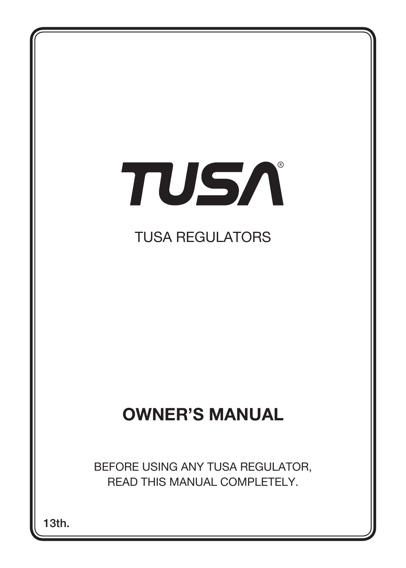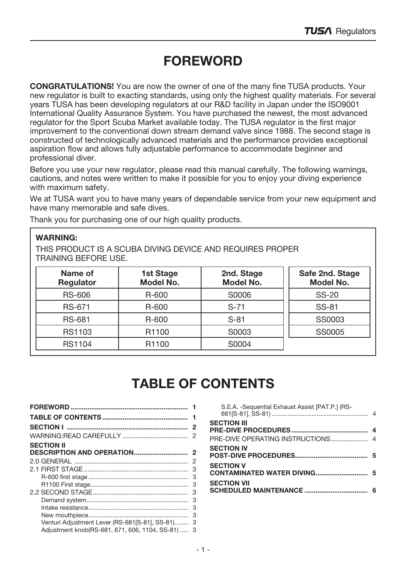# FOREWORD

CONGRATULATlONS! You are now the owner of one of the many fine TUSA products. Your new regulator is built to exacting standards, using only the highest quality materials. For several years TUSA has been developing regulators at our R&D facility in Japan under the ISO9001 International Quality Assurance System. You have purchased the newest, the most advanced regulator for the Sport Scuba Market available today. The TUSA regulator is the first major improvement to the conventional down stream demand valve since 1988. The second stage is constructed of technologically advanced materials and the performance provides exceptional aspiration flow and allows fully adjustable performance to accommodate beginner and professional diver.

Before you use your new regulator, please read this manual carefully. The following warnings, cautions, and notes were written to make it possible for you to enjoy your diving experience with maximum safety.

We at TUSA want you to have many years of dependable service from your new equipment and have many memorable and safe dives.

Thank you for purchasing one of our high quality products.

#### WARNING:

THIS PRODUCT IS A SCUBA DIVING DEVICE AND REQUIRES PROPER TRAINING BEFORE USE.

| Name of<br>Regulator | 1st Stage<br>Model No. | 2nd. Stage<br>Model No. | Safe 2nd. Stage<br>Model No. |
|----------------------|------------------------|-------------------------|------------------------------|
| RS-606               | R-600                  | S0006                   | <b>SS-20</b>                 |
| RS-671               | R-600                  | $S-71$                  | SS-81                        |
| <b>RS-681</b>        | R-600                  | $S-81$                  | SS0003                       |
| RS1103               | R1100                  | S0003                   | SS0005                       |
| RS1104               | R <sub>1100</sub>      | S0004                   |                              |

# TABLE OF CONTENTS

| <b>SECTION II</b>                                 |   |  |
|---------------------------------------------------|---|--|
|                                                   |   |  |
|                                                   | 2 |  |
|                                                   |   |  |
|                                                   |   |  |
|                                                   |   |  |
|                                                   |   |  |
|                                                   |   |  |
|                                                   |   |  |
|                                                   | 3 |  |
| Venturi Adjustment Lever (RS-681[S-81], SS-81) 3  |   |  |
| Adjustment knob(RS-681, 671, 606, 1104, SS-81)  3 |   |  |

| S.E.A. - Sequential Exhaust Assist [PAT.P.] (RS- |  |
|--------------------------------------------------|--|
| <b>SECTION III</b>                               |  |
| <b>SECTION IV</b>                                |  |
| <b>SECTION V</b>                                 |  |
| <b>SECTION VII</b>                               |  |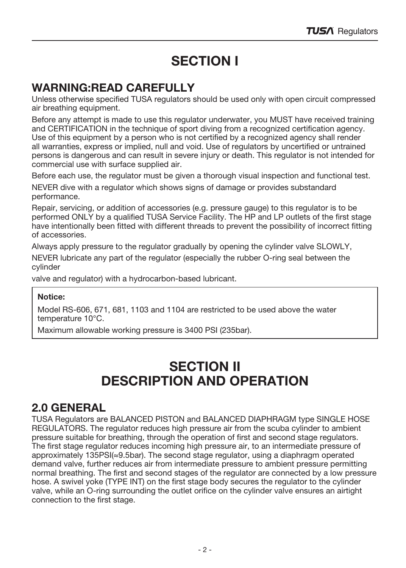# SECTION I

## WARNING:READ CAREFULLY

Unless otherwise specified TUSA regulators should be used only with open circuit compressed air breathing equipment.

Before any attempt is made to use this regulator underwater, you MUST have received training and CERTIFICATION in the technique of sport diving from a recognized certification agency. Use of this equipment by a person who is not certified by a recognized agency shall render all warranties, express or implied, null and void. Use of regulators by uncertified or untrained persons is dangerous and can result in severe injury or death. This regulator is not intended for commercial use with surface supplied air.

Before each use, the regulator must be given a thorough visual inspection and functional test.

NEVER dive with a regulator which shows signs of damage or provides substandard performance.

Repair, servicing, or addition of accessories (e.g. pressure gauge) to this regulator is to be performed ONLY by a qualified TUSA Service Facility. The HP and LP outlets of the first stage have intentionally been fitted with different threads to prevent the possibility of incorrect fitting of accessories.

Always apply pressure to the regulator gradually by opening the cylinder valve SLOWLY,

NEVER lubricate any part of the regulator (especially the rubber O-ring seal between the cylinder

valve and regulator) with a hydrocarbon-based lubricant.

#### Notice:

Model RS-606, 671, 681, 1103 and 1104 are restricted to be used above the water temperature 10°C.

Maximum allowable working pressure is 3400 PSI (235bar).

## SECTION II DESCRIPTION AND OPERATION

### 2.0 GENERAL

TUSA Regulators are BALANCED PISTON and BALANCED DIAPHRAGM type SINGLE HOSE REGULATORS. The regulator reduces high pressure air from the scuba cylinder to ambient pressure suitable for breathing, through the operation of first and second stage regulators. The first stage regulator reduces incoming high pressure air, to an intermediate pressure of approximately 135PSI(≈9.5bar). The second stage regulator, using a diaphragm operated demand valve, further reduces air from intermediate pressure to ambient pressure permitting normal breathing. The first and second stages of the regulator are connected by a low pressure hose. A swivel yoke (TYPE INT) on the first stage body secures the regulator to the cylinder valve, while an O-ring surrounding the outlet orifice on the cylinder valve ensures an airtight connection to the first stage.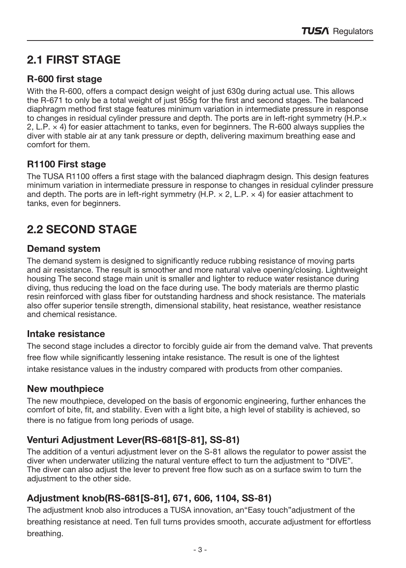## 2.1 FIRST STAGE

### R-600 first stage

With the R-600, offers a compact design weight of just 630g during actual use. This allows the R-671 to only be a total weight of just 955g for the first and second stages. The balanced diaphragm method first stage features minimum variation in intermediate pressure in response to changes in residual cylinder pressure and depth. The ports are in left-right symmetry (H.P.× 2, L.P. × 4) for easier attachment to tanks, even for beginners. The R-600 always supplies the diver with stable air at any tank pressure or depth, delivering maximum breathing ease and comfort for them.

### R1100 First stage

The TUSA R1100 offers a first stage with the balanced diaphragm design. This design features minimum variation in intermediate pressure in response to changes in residual cylinder pressure and depth. The ports are in left-right symmetry (H.P.  $\times$  2, L.P.  $\times$  4) for easier attachment to tanks, even for beginners.

## 2.2 SECOND STAGE

### Demand system

The demand system is designed to significantly reduce rubbing resistance of moving parts and air resistance. The result is smoother and more natural valve opening/closing. Lightweight housing The second stage main unit is smaller and lighter to reduce water resistance during diving, thus reducing the load on the face during use. The body materials are thermo plastic resin reinforced with glass fiber for outstanding hardness and shock resistance. The materials also offer superior tensile strength, dimensional stability, heat resistance, weather resistance and chemical resistance.

### Intake resistance

The second stage includes a director to forcibly guide air from the demand valve. That prevents free flow while significantly lessening intake resistance. The result is one of the lightest intake resistance values in the industry compared with products from other companies.

### New mouthpiece

The new mouthpiece, developed on the basis of ergonomic engineering, further enhances the comfort of bite, fit, and stability. Even with a light bite, a high level of stability is achieved, so there is no fatigue from long periods of usage.

### Venturi Adjustment Lever(RS-681[S-81], SS-81)

The addition of a venturi adjustment lever on the S-81 allows the regulator to power assist the diver when underwater utilizing the natural venture effect to turn the adjustment to "DIVE". The diver can also adjust the lever to prevent free flow such as on a surface swim to turn the adjustment to the other side.

### Adjustment knob(RS-681[S-81], 671, 606, 1104, SS-81)

The adjustment knob also introduces a TUSA innovation, an"Easy touch"adjustment of the breathing resistance at need. Ten full turns provides smooth, accurate adjustment for effortless breathing.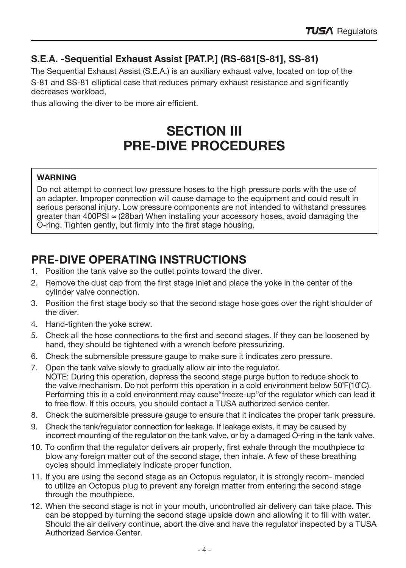### S.E.A. -Sequential Exhaust Assist [PAT.P.] (RS-681[S-81], SS-81)

The Sequential Exhaust Assist (S.E.A.) is an auxiliary exhaust valve, located on top of the

S-81 and SS-81 elliptical case that reduces primary exhaust resistance and significantly decreases workload,

thus allowing the diver to be more air efficient.

## **SECTION III** PRE-DIVE PROCEDURES

#### **WARNING**

Do not attempt to connect low pressure hoses to the high pressure ports with the use of an adapter. Improper connection will cause damage to the equipment and could result in serious personal injury. Low pressure components are not intended to withstand pressures greater than 400PSI  $\approx$  (28bar) When installing your accessory hoses, avoid damaging the O-ring. Tighten gently, but firmly into the first stage housing.

## PRE-DIVE OPERATING INSTRUCTIONS

- 1. Position the tank valve so the outlet points toward the diver.
- 2. Remove the dust cap from the first stage inlet and place the yoke in the center of the cylinder valve connection.
- 3. Position the first stage body so that the second stage hose goes over the right shoulder of the diver.
- 4. Hand-tighten the yoke screw.
- 5. Check all the hose connections to the first and second stages. If they can be loosened by hand, they should be tightened with a wrench before pressurizing.
- 6. Check the submersible pressure gauge to make sure it indicates zero pressure.
- 7. Open the tank valve slowly to gradually allow air into the regulator. NOTE: During this operation, depress the second stage purge button to reduce shock to the valve mechanism. Do not perform this operation in a cold environment below 50˚F(10˚C). Performing this in a cold environment may cause"freeze-up"of the regulator which can lead it to free flow. If this occurs, you should contact a TUSA authorized service center.
- 8. Check the submersible pressure gauge to ensure that it indicates the proper tank pressure.
- 9. Check the tank/regulator connection for leakage. If leakage exists, it may be caused by incorrect mounting of the regulator on the tank valve, or by a damaged O-ring in the tank valve.
- 10. To confirm that the regulator delivers air properly, first exhale through the mouthpiece to blow any foreign matter out of the second stage, then inhale. A few of these breathing cycles should immediately indicate proper function.
- 11. If you are using the second stage as an Octopus regulator, it is strongly recom- mended to utilize an Octopus plug to prevent any foreign matter from entering the second stage through the mouthpiece.
- 12. When the second stage is not in your mouth, uncontrolled air delivery can take place. This can be stopped by turning the second stage upside down and allowing it to fill with water. Should the air delivery continue, abort the dive and have the regulator inspected by a TUSA Authorized Service Center.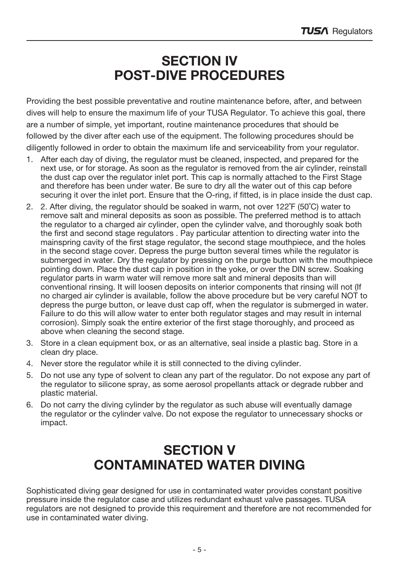## SECTION IV POST-DIVE PROCEDURES

Providing the best possible preventative and routine maintenance before, after, and between dives will help to ensure the maximum life of your TUSA Regulator. To achieve this goal, there are a number of simple, yet important, routine maintenance procedures that should be followed by the diver after each use of the equipment. The following procedures should be diligently followed in order to obtain the maximum life and serviceability from your regulator.

- 1. After each day of diving, the regulator must be cleaned, inspected, and prepared for the next use, or for storage. As soon as the regulator is removed from the air cylinder, reinstall the dust cap over the regulator inlet port. This cap is normally attached to the First Stage and therefore has been under water. Be sure to dry all the water out of this cap before securing it over the inlet port. Ensure that the O-ring, if fitted, is in place inside the dust cap.
- 2. 2. After diving, the regulator should be soaked in warm, not over 122˚F (50˚C) water to remove salt and mineral deposits as soon as possible. The preferred method is to attach the regulator to a charged air cylinder, open the cylinder valve, and thoroughly soak both the first and second stage regulators . Pay particular attention to directing water into the mainspring cavity of the first stage regulator, the second stage mouthpiece, and the holes in the second stage cover. Depress the purge button several times while the regulator is submerged in water. Dry the regulator by pressing on the purge button with the mouthpiece pointing down. Place the dust cap in position in the yoke, or over the DIN screw. Soaking regulator parts in warm water will remove more salt and mineral deposits than will conventional rinsing. It will loosen deposits on interior components that rinsing will not (If no charged air cylinder is available, follow the above procedure but be very careful NOT to depress the purge button, or leave dust cap off, when the regulator is submerged in water. Failure to do this will allow water to enter both regulator stages and may result in internal corrosion). Simply soak the entire exterior of the first stage thoroughly, and proceed as above when cleaning the second stage.
- 3. Store in a clean equipment box, or as an alternative, seal inside a plastic bag. Store in a clean dry place.
- 4. Never store the regulator while it is still connected to the diving cylinder.
- 5. Do not use any type of solvent to clean any part of the regulator. Do not expose any part of the regulator to silicone spray, as some aerosol propellants attack or degrade rubber and plastic material.
- 6. Do not carry the diving cylinder by the regulator as such abuse will eventually damage the regulator or the cylinder valve. Do not expose the regulator to unnecessary shocks or impact.

## SECTION V CONTAMINATED WATER DIVING

Sophisticated diving gear designed for use in contaminated water provides constant positive pressure inside the regulator case and utilizes redundant exhaust valve passages. TUSA regulators are not designed to provide this requirement and therefore are not recommended for use in contaminated water diving.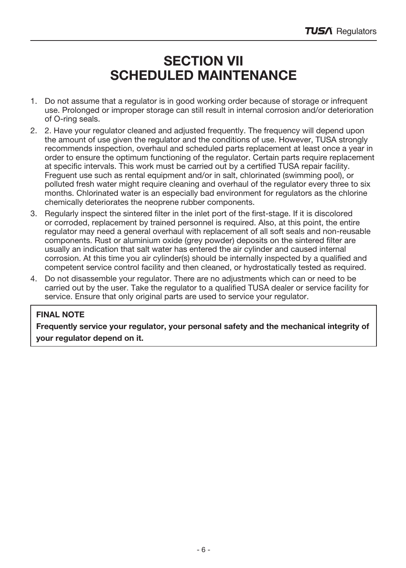## SECTION VII SCHEDULED MAINTENANCE

- 1. Do not assume that a regulator is in good working order because of storage or infrequent use. Prolonged or improper storage can still result in internal corrosion and/or deterioration of O-ring seals.
- 2. 2. Have your regulator cleaned and adjusted frequently. The frequency will depend upon the amount of use given the regulator and the conditions of use. However, TUSA strongly recommends inspection, overhaul and scheduled parts replacement at least once a year in order to ensure the optimum functioning of the regulator. Certain parts require replacement at specific intervals. This work must be carried out by a certified TUSA repair facility. Freguent use such as rental equipment and/or in salt, chlorinated (swimming pool), or polluted fresh water might require cleaning and overhaul of the regulator every three to six months. Chlorinated water is an especially bad environment for regulators as the chlorine chemically deteriorates the neoprene rubber components.
- 3. Regularly inspect the sintered filter in the inlet port of the first-stage. If it is discolored or corroded, replacement by trained personnel is required. Also, at this point, the entire regulator may need a general overhaul with replacement of all soft seals and non-reusable components. Rust or aluminium oxide (grey powder) deposits on the sintered filter are usually an indication that salt water has entered the air cylinder and caused internal corrosion. At this time you air cylinder(s) should be internally inspected by a qualified and competent service control facility and then cleaned, or hydrostatically tested as required.
- 4. Do not disassemble your regulator. There are no adjustments which can or need to be carried out by the user. Take the regulator to a qualified TUSA dealer or service facility for service. Ensure that only original parts are used to service your regulator.

#### FINAL NOTE

Frequently service your regulator, your personal safety and the mechanical integrity of your regulator depend on it.